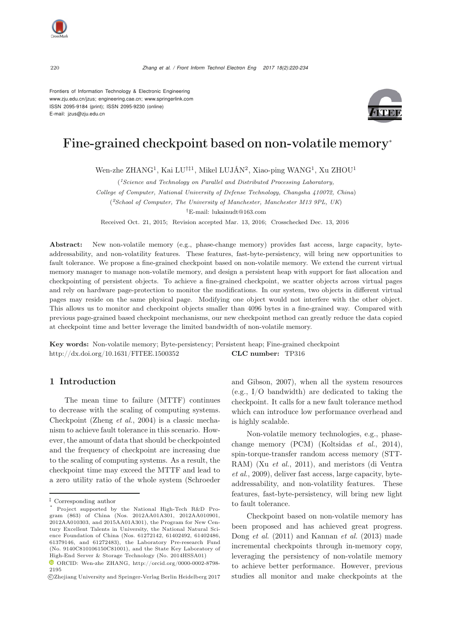Frontiers of Information Technology & Electronic Engineering www.zju.edu.cn/jzus; engineering.cae.cn; www.springerlink.com ISSN 2095-9184 (print); ISSN 2095-9230 (online) E-mail: jzus@zju.edu.cn



# Fine-grained checkpoint based on non-volatile memory<sup>∗</sup>

Wen-zhe ZHANG<sup>1</sup>, Kai LU*†‡*<sup>1</sup>, Mikel LUJÁN<sup>2</sup>, Xiao-ping WANG<sup>1</sup>, Xu ZHOU<sup>1</sup>

(*1Science and Technology on Parallel and Distributed Processing Laboratory, College of Computer, National University of Defense Technology, Changsha 410072, China*) (*2School of Computer, The University of Manchester, Manchester M13 9PL, UK*) *†*E-mail: lukainudt@163.com

Received Oct. 21, 2015; Revision accepted Mar. 13, 2016; Crosschecked Dec. 13, 2016

Abstract: New non-volatile memory (e.g., phase-change memory) provides fast access, large capacity, byteaddressability, and non-volatility features. These features, fast-byte-persistency, will bring new opportunities to fault tolerance. We propose a fine-grained checkpoint based on non-volatile memory. We extend the current virtual memory manager to manage non-volatile memory, and design a persistent heap with support for fast allocation and checkpointing of persistent objects. To achieve a fine-grained checkpoint, we scatter objects across virtual pages and rely on hardware page-protection to monitor the modifications. In our system, two objects in different virtual pages may reside on the same physical page. Modifying one object would not interfere with the other object. This allows us to monitor and checkpoint objects smaller than 4096 bytes in a fine-grained way. Compared with previous page-grained based checkpoint mechanisms, our new checkpoint method can greatly reduce the data copied at checkpoint time and better leverage the limited bandwidth of non-volatile memory.

Key words: Non-volatile memory; Byte-persistency; Persistent heap; Fine-grained checkpoint http://dx.doi.org/10.1631/FITEE.1500352 CLC number: TP316

## 1 Introduction

The mean time to failure (MTTF) continues to decrease with the scaling of computing systems. Checkpoint (Zheng *et al.*, 2004) is a classic mechanism to achieve fault tolerance in this scenario. However, the amount of data that should be checkpointed and the frequency of checkpoint are increasing due to the scaling of computing systems. As a result, the checkpoint time may exceed the MTTF and lead to a zero utility ratio of the whole system (Schroeder

and Gibson, 2007), when all the system resources (e.g., I/O bandwidth) are dedicated to taking the checkpoint. It calls for a new fault tolerance method which can introduce low performance overhead and is highly scalable.

Non-volatile memory technologies, e.g., phasechange memory (PCM) (Koltsidas *et al.*, 2014), spin-torque-transfer random access memory (STT-RAM) (Xu *et al.*, 2011), and meristors (di Ventra *et al.*, 2009), deliver fast access, large capacity, byteaddressability, and non-volatility features. These features, fast-byte-persistency, will bring new light to fault tolerance.

Checkpoint based on non-volatile memory has been proposed and has achieved great progress. Dong *et al.* (2011) and Kannan *et al.* (2013) made incremental checkpoints through in-memory copy, leveraging the persistency of non-volatile memory to achieve better performance. However, previous studies all monitor and make checkpoints at the

*<sup>‡</sup>* Corresponding author

Project supported by the National High-Tech R&D Program (863) of China (Nos. 2012AA01A301, 2012AA010901, 2012AA010303, and 2015AA01A301), the Program for New Century Excellent Talents in University, the National Natural Science Foundation of China (Nos. 61272142, 61402492, 61402486, 61379146, and 61272483), the Laboratory Pre-research Fund (No. 9140C810106150C81001), and the State Key Laboratory of High-End Server & Storage Technology (No. 2014HSSA01)

ORCID: Wen-zhe ZHANG, http://orcid.org/0000-0002-8798- 2195

c Zhejiang University and Springer-Verlag Berlin Heidelberg 2017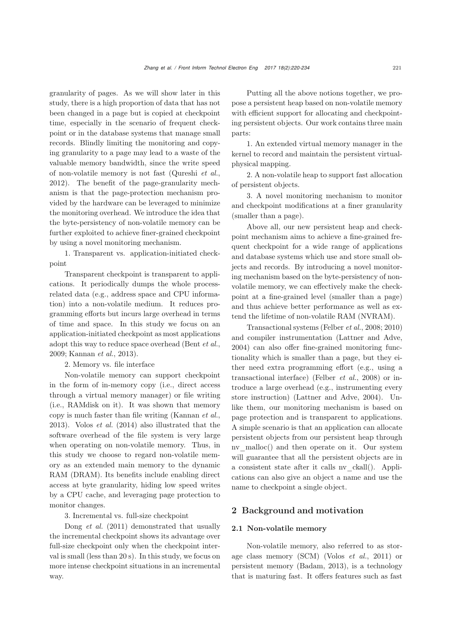granularity of pages. As we will show later in this study, there is a high proportion of data that has not been changed in a page but is copied at checkpoint time, especially in the scenario of frequent checkpoint or in the database systems that manage small records. Blindly limiting the monitoring and copying granularity to a page may lead to a waste of the valuable memory bandwidth, since the write speed of non-volatile memory is not fast (Qureshi *et al.*, 2012). The benefit of the page-granularity mechanism is that the page-protection mechanism provided by the hardware can be leveraged to minimize the monitoring overhead. We introduce the idea that the byte-persistency of non-volatile memory can be further exploited to achieve finer-grained checkpoint by using a novel monitoring mechanism.

1. Transparent vs. application-initiated checkpoint

Transparent checkpoint is transparent to applications. It periodically dumps the whole processrelated data (e.g., address space and CPU information) into a non-volatile medium. It reduces programming efforts but incurs large overhead in terms of time and space. In this study we focus on an application-initiated checkpoint as most applications adopt this way to reduce space overhead (Bent *et al.*, 2009; Kannan *et al.*, 2013).

2. Memory vs. file interface

Non-volatile memory can support checkpoint in the form of in-memory copy (i.e., direct access through a virtual memory manager) or file writing (i.e., RAMdisk on it). It was shown that memory copy is much faster than file writing (Kannan *et al.*, 2013). Volos *et al.* (2014) also illustrated that the software overhead of the file system is very large when operating on non-volatile memory. Thus, in this study we choose to regard non-volatile memory as an extended main memory to the dynamic RAM (DRAM). Its benefits include enabling direct access at byte granularity, hiding low speed writes by a CPU cache, and leveraging page protection to monitor changes.

3. Incremental vs. full-size checkpoint

Dong *et al.* (2011) demonstrated that usually the incremental checkpoint shows its advantage over full-size checkpoint only when the checkpoint interval is small (less than 20 s). In this study, we focus on more intense checkpoint situations in an incremental way.

Putting all the above notions together, we propose a persistent heap based on non-volatile memory with efficient support for allocating and checkpointing persistent objects. Our work contains three main parts:

1. An extended virtual memory manager in the kernel to record and maintain the persistent virtualphysical mapping.

2. A non-volatile heap to support fast allocation of persistent objects.

3. A novel monitoring mechanism to monitor and checkpoint modifications at a finer granularity (smaller than a page).

Above all, our new persistent heap and checkpoint mechanism aims to achieve a fine-grained frequent checkpoint for a wide range of applications and database systems which use and store small objects and records. By introducing a novel monitoring mechanism based on the byte-persistency of nonvolatile memory, we can effectively make the checkpoint at a fine-grained level (smaller than a page) and thus achieve better performance as well as extend the lifetime of non-volatile RAM (NVRAM).

Transactional systems (Felber *et al.*, 2008; 2010) and compiler instrumentation (Lattner and Adve, 2004) can also offer fine-grained monitoring functionality which is smaller than a page, but they either need extra programming effort (e.g., using a transactional interface) (Felber *et al.*, 2008) or introduce a large overhead (e.g., instrumenting every store instruction) (Lattner and Adve, 2004). Unlike them, our monitoring mechanism is based on page protection and is transparent to applications. A simple scenario is that an application can allocate persistent objects from our persistent heap through nv\_malloc() and then operate on it. Our system will guarantee that all the persistent objects are in a consistent state after it calls nv\_ckall(). Applications can also give an object a name and use the name to checkpoint a single object.

## 2 Background and motivation

## 2.1 Non-volatile memory

Non-volatile memory, also referred to as storage class memory (SCM) (Volos *et al.*, 2011) or persistent memory (Badam, 2013), is a technology that is maturing fast. It offers features such as fast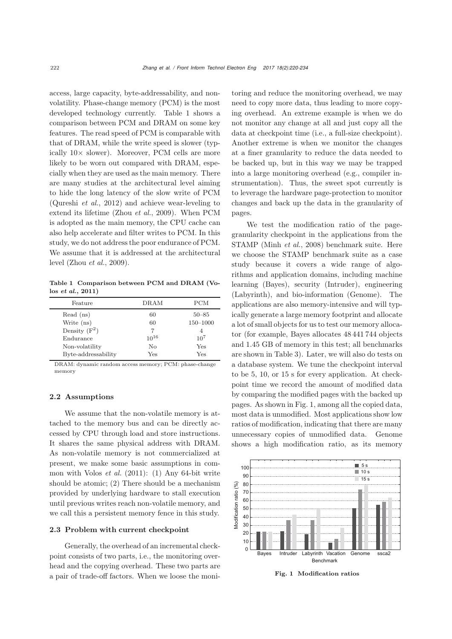access, large capacity, byte-addressability, and nonvolatility. Phase-change memory (PCM) is the most developed technology currently. Table 1 shows a comparison between PCM and DRAM on some key features. The read speed of PCM is comparable with that of DRAM, while the write speed is slower (typically  $10\times$  slower). Moreover, PCM cells are more likely to be worn out compared with DRAM, especially when they are used as the main memory. There are many studies at the architectural level aiming to hide the long latency of the slow write of PCM (Qureshi *et al.*, 2012) and achieve wear-leveling to extend its lifetime (Zhou *et al.*, 2009). When PCM is adopted as the main memory, the CPU cache can also help accelerate and filter writes to PCM. In this study, we do not address the poor endurance of PCM. We assume that it is addressed at the architectural level (Zhou *et al.*, 2009).

Table 1 Comparison between PCM and DRAM (Volos *et al.*, 2011)

| Feature             | DRAM      | <b>PCM</b> |
|---------------------|-----------|------------|
| Read (ns)           | 60        | $50 - 85$  |
| Write (ns)          | 60        | 150-1000   |
| Density $(F^2)$     |           | 4          |
| Endurance           | $10^{16}$ | $10^{7}$   |
| Non-volatility      | No        | Yes        |
| Byte-addressability | Yes       | Yes        |

DRAM: dynamic random access memory; PCM: phase-change memory

#### 2.2 Assumptions

We assume that the non-volatile memory is attached to the memory bus and can be directly accessed by CPU through load and store instructions. It shares the same physical address with DRAM. As non-volatile memory is not commercialized at present, we make some basic assumptions in common with Volos *et al.* (2011): (1) Any 64-bit write should be atomic; (2) There should be a mechanism provided by underlying hardware to stall execution until previous writes reach non-volatile memory, and we call this a persistent memory fence in this study.

#### 2.3 Problem with current checkpoint

Generally, the overhead of an incremental checkpoint consists of two parts, i.e., the monitoring overhead and the copying overhead. These two parts are a pair of trade-off factors. When we loose the monitoring and reduce the monitoring overhead, we may need to copy more data, thus leading to more copying overhead. An extreme example is when we do not monitor any change at all and just copy all the data at checkpoint time (i.e., a full-size checkpoint). Another extreme is when we monitor the changes at a finer granularity to reduce the data needed to be backed up, but in this way we may be trapped into a large monitoring overhead (e.g., compiler instrumentation). Thus, the sweet spot currently is to leverage the hardware page-protection to monitor changes and back up the data in the granularity of pages.

We test the modification ratio of the pagegranularity checkpoint in the applications from the STAMP (Minh *et al.*, 2008) benchmark suite. Here we choose the STAMP benchmark suite as a case study because it covers a wide range of algorithms and application domains, including machine learning (Bayes), security (Intruder), engineering (Labyrinth), and bio-information (Genome). The applications are also memory-intensive and will typically generate a large memory footprint and allocate a lot of small objects for us to test our memory allocator (for example, Bayes allocates 48 441 744 objects and 1.45 GB of memory in this test; all benchmarks are shown in Table 3). Later, we will also do tests on a database system. We tune the checkpoint interval to be 5, 10, or 15 s for every application. At checkpoint time we record the amount of modified data by comparing the modified pages with the backed up pages. As shown in Fig. 1, among all the copied data, most data is unmodified. Most applications show low ratios of modification, indicating that there are many unnecessary copies of unmodified data. Genome shows a high modification ratio, as its memory



Fig. 1 Modification ratios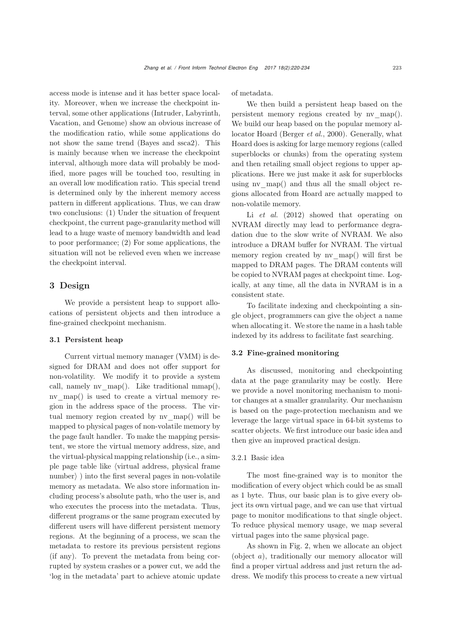access mode is intense and it has better space locality. Moreover, when we increase the checkpoint interval, some other applications (Intruder, Labyrinth, Vacation, and Genome) show an obvious increase of the modification ratio, while some applications do not show the same trend (Bayes and ssca2). This is mainly because when we increase the checkpoint interval, although more data will probably be modified, more pages will be touched too, resulting in an overall low modification ratio. This special trend is determined only by the inherent memory access pattern in different applications. Thus, we can draw two conclusions: (1) Under the situation of frequent checkpoint, the current page-granularity method will lead to a huge waste of memory bandwidth and lead to poor performance; (2) For some applications, the situation will not be relieved even when we increase the checkpoint interval.

## 3 Design

We provide a persistent heap to support allocations of persistent objects and then introduce a fine-grained checkpoint mechanism.

### 3.1 Persistent heap

Current virtual memory manager (VMM) is designed for DRAM and does not offer support for non-volatility. We modify it to provide a system call, namely nv  $map()$ . Like traditional mmap $(),$ nv map() is used to create a virtual memory region in the address space of the process. The virtual memory region created by nv\_map() will be mapped to physical pages of non-volatile memory by the page fault handler. To make the mapping persistent, we store the virtual memory address, size, and the virtual-physical mapping relationship (i.e., a simple page table like  $\langle$  virtual address, physical frame  $\text{number}$ ) into the first several pages in non-volatile memory as metadata. We also store information including process's absolute path, who the user is, and who executes the process into the metadata. Thus, different programs or the same program executed by different users will have different persistent memory regions. At the beginning of a process, we scan the metadata to restore its previous persistent regions (if any). To prevent the metadata from being corrupted by system crashes or a power cut, we add the 'log in the metadata' part to achieve atomic update of metadata.

We then build a persistent heap based on the persistent memory regions created by nv\_map(). We build our heap based on the popular memory allocator Hoard (Berger *et al.*, 2000). Generally, what Hoard does is asking for large memory regions (called superblocks or chunks) from the operating system and then retailing small object regions to upper applications. Here we just make it ask for superblocks using nv map() and thus all the small object regions allocated from Hoard are actually mapped to non-volatile memory.

Li *et al.* (2012) showed that operating on NVRAM directly may lead to performance degradation due to the slow write of NVRAM. We also introduce a DRAM buffer for NVRAM. The virtual memory region created by ny map() will first be mapped to DRAM pages. The DRAM contents will be copied to NVRAM pages at checkpoint time. Logically, at any time, all the data in NVRAM is in a consistent state.

To facilitate indexing and checkpointing a single object, programmers can give the object a name when allocating it. We store the name in a hash table indexed by its address to facilitate fast searching.

#### 3.2 Fine-grained monitoring

As discussed, monitoring and checkpointing data at the page granularity may be costly. Here we provide a novel monitoring mechanism to monitor changes at a smaller granularity. Our mechanism is based on the page-protection mechanism and we leverage the large virtual space in 64-bit systems to scatter objects. We first introduce our basic idea and then give an improved practical design.

#### 3.2.1 Basic idea

The most fine-grained way is to monitor the modification of every object which could be as small as 1 byte. Thus, our basic plan is to give every object its own virtual page, and we can use that virtual page to monitor modifications to that single object. To reduce physical memory usage, we map several virtual pages into the same physical page.

As shown in Fig. 2, when we allocate an object (object *a*), traditionally our memory allocator will find a proper virtual address and just return the address. We modify this process to create a new virtual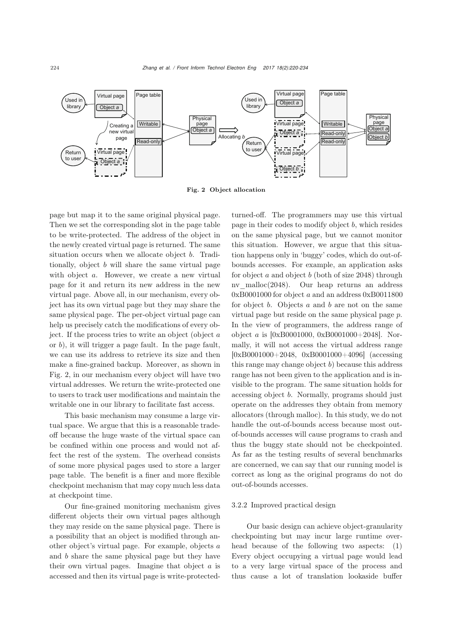

Fig. 2 Object allocation

page but map it to the same original physical page. Then we set the corresponding slot in the page table to be write-protected. The address of the object in the newly created virtual page is returned. The same situation occurs when we allocate object *b*. Traditionally, object *b* will share the same virtual page with object *a*. However, we create a new virtual page for it and return its new address in the new virtual page. Above all, in our mechanism, every object has its own virtual page but they may share the same physical page. The per-object virtual page can help us precisely catch the modifications of every object. If the process tries to write an object (object *a* or *b*), it will trigger a page fault. In the page fault, we can use its address to retrieve its size and then make a fine-grained backup. Moreover, as shown in Fig. 2, in our mechanism every object will have two virtual addresses. We return the write-protected one to users to track user modifications and maintain the writable one in our library to facilitate fast access.

This basic mechanism may consume a large virtual space. We argue that this is a reasonable tradeoff because the huge waste of the virtual space can be confined within one process and would not affect the rest of the system. The overhead consists of some more physical pages used to store a larger page table. The benefit is a finer and more flexible checkpoint mechanism that may copy much less data at checkpoint time.

Our fine-grained monitoring mechanism gives different objects their own virtual pages although they may reside on the same physical page. There is a possibility that an object is modified through another object's virtual page. For example, objects *a* and *b* share the same physical page but they have their own virtual pages. Imagine that object *a* is accessed and then its virtual page is write-protectedturned-off. The programmers may use this virtual page in their codes to modify object *b*, which resides on the same physical page, but we cannot monitor this situation. However, we argue that this situation happens only in 'buggy' codes, which do out-ofbounds accesses. For example, an application asks for object *a* and object *b* (both of size 2048) through nv malloc $(2048)$ . Our heap returns an address 0xB0001000 for object *a* and an address 0xB0011800 for object *b*. Objects *a* and *b* are not on the same virtual page but reside on the same physical page *p*. In the view of programmers, the address range of object *a* is [0xB0001000, 0xB0001000+2048]. Normally, it will not access the virtual address range [0xB0001000+2048, 0xB0001000+4096] (accessing this range may change object *b*) because this address range has not been given to the application and is invisible to the program. The same situation holds for accessing object *b*. Normally, programs should just operate on the addresses they obtain from memory allocators (through malloc). In this study, we do not handle the out-of-bounds access because most outof-bounds accesses will cause programs to crash and thus the buggy state should not be checkpointed. As far as the testing results of several benchmarks are concerned, we can say that our running model is correct as long as the original programs do not do out-of-bounds accesses.

#### 3.2.2 Improved practical design

Our basic design can achieve object-granularity checkpointing but may incur large runtime overhead because of the following two aspects: (1) Every object occupying a virtual page would lead to a very large virtual space of the process and thus cause a lot of translation lookaside buffer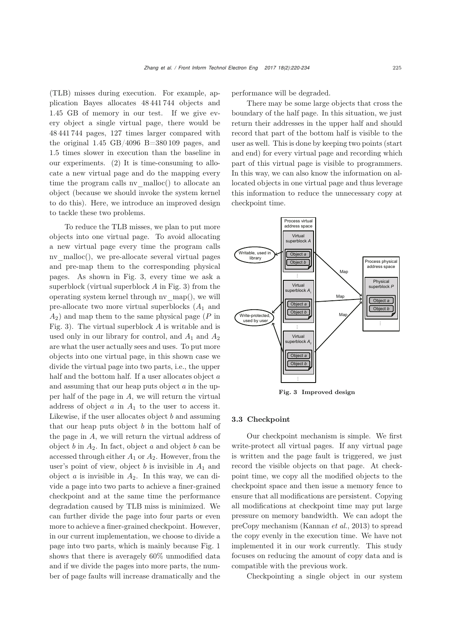(TLB) misses during execution. For example, application Bayes allocates 48 441 744 objects and 1.45 GB of memory in our test. If we give every object a single virtual page, there would be 48 441 744 pages, 127 times larger compared with the original  $1.45$  GB/4096 B=380109 pages, and 1.5 times slower in execution than the baseline in our experiments. (2) It is time-consuming to allocate a new virtual page and do the mapping every time the program calls nv malloc() to allocate an object (because we should invoke the system kernel to do this). Here, we introduce an improved design to tackle these two problems.

To reduce the TLB misses, we plan to put more objects into one virtual page. To avoid allocating a new virtual page every time the program calls nv\_malloc(), we pre-allocate several virtual pages and pre-map them to the corresponding physical pages. As shown in Fig. 3, every time we ask a superblock (virtual superblock *A* in Fig. 3) from the operating system kernel through nv\_map(), we will pre-allocate two more virtual superblocks (*A*<sup>1</sup> and *A*2) and map them to the same physical page (*P* in Fig. 3). The virtual superblock *A* is writable and is used only in our library for control, and *A*<sup>1</sup> and *A*<sup>2</sup> are what the user actually sees and uses. To put more objects into one virtual page, in this shown case we divide the virtual page into two parts, i.e., the upper half and the bottom half. If a user allocates object *a* and assuming that our heap puts object *a* in the upper half of the page in *A*, we will return the virtual address of object *a* in *A*<sup>1</sup> to the user to access it. Likewise, if the user allocates object *b* and assuming that our heap puts object *b* in the bottom half of the page in *A*, we will return the virtual address of object *b* in *A*2. In fact, object *a* and object *b* can be accessed through either *A*<sup>1</sup> or *A*2. However, from the user's point of view, object  $b$  is invisible in  $A_1$  and object *a* is invisible in *A*2. In this way, we can divide a page into two parts to achieve a finer-grained checkpoint and at the same time the performance degradation caused by TLB miss is minimized. We can further divide the page into four parts or even more to achieve a finer-grained checkpoint. However, in our current implementation, we choose to divide a page into two parts, which is mainly because Fig. 1 shows that there is averagely 60% unmodified data and if we divide the pages into more parts, the number of page faults will increase dramatically and the

performance will be degraded.

There may be some large objects that cross the boundary of the half page. In this situation, we just return their addresses in the upper half and should record that part of the bottom half is visible to the user as well. This is done by keeping two points (start and end) for every virtual page and recording which part of this virtual page is visible to programmers. In this way, we can also know the information on allocated objects in one virtual page and thus leverage this information to reduce the unnecessary copy at checkpoint time.



Fig. 3 Improved design

#### 3.3 Checkpoint

Our checkpoint mechanism is simple. We first write-protect all virtual pages. If any virtual page is written and the page fault is triggered, we just record the visible objects on that page. At checkpoint time, we copy all the modified objects to the checkpoint space and then issue a memory fence to ensure that all modifications are persistent. Copying all modifications at checkpoint time may put large pressure on memory bandwidth. We can adopt the preCopy mechanism (Kannan *et al.*, 2013) to spread the copy evenly in the execution time. We have not implemented it in our work currently. This study focuses on reducing the amount of copy data and is compatible with the previous work.

Checkpointing a single object in our system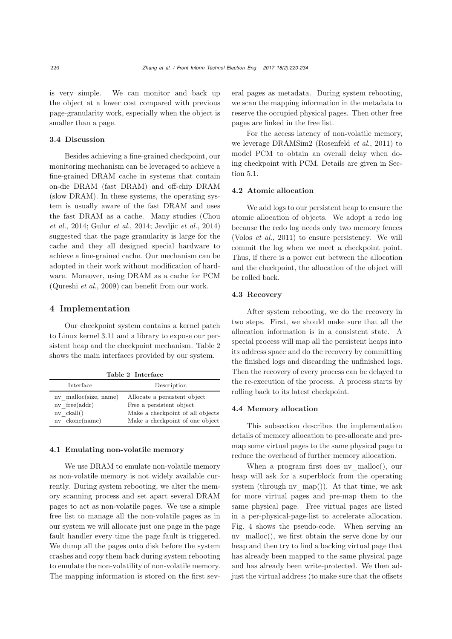is very simple. We can monitor and back up the object at a lower cost compared with previous page-granularity work, especially when the object is smaller than a page.

#### 3.4 Discussion

Besides achieving a fine-grained checkpoint, our monitoring mechanism can be leveraged to achieve a fine-grained DRAM cache in systems that contain on-die DRAM (fast DRAM) and off-chip DRAM (slow DRAM). In these systems, the operating system is usually aware of the fast DRAM and uses the fast DRAM as a cache. Many studies (Chou *et al.*, 2014; Gulur *et al.*, 2014; Jevdjic *et al.*, 2014) suggested that the page granularity is large for the cache and they all designed special hardware to achieve a fine-grained cache. Our mechanism can be adopted in their work without modification of hardware. Moreover, using DRAM as a cache for PCM (Qureshi *et al.*, 2009) can benefit from our work.

## 4 Implementation

Our checkpoint system contains a kernel patch to Linux kernel 3.11 and a library to expose our persistent heap and the checkpoint mechanism. Table 2 shows the main interfaces provided by our system.

Table 2 Interface

| Interface             | Description                      |  |  |
|-----------------------|----------------------------------|--|--|
| nv malloc(size, name) | Allocate a persistent object     |  |  |
| $nv$ free( $addr$ )   | Free a persistent object         |  |  |
| $nv$ ckall()          | Make a checkpoint of all objects |  |  |
| nv ckone(name)        | Make a checkpoint of one object  |  |  |

## 4.1 Emulating non-volatile memory

We use DRAM to emulate non-volatile memory as non-volatile memory is not widely available currently. During system rebooting, we alter the memory scanning process and set apart several DRAM pages to act as non-volatile pages. We use a simple free list to manage all the non-volatile pages as in our system we will allocate just one page in the page fault handler every time the page fault is triggered. We dump all the pages onto disk before the system crashes and copy them back during system rebooting to emulate the non-volatility of non-volatile memory. The mapping information is stored on the first several pages as metadata. During system rebooting, we scan the mapping information in the metadata to reserve the occupied physical pages. Then other free pages are linked in the free list.

For the access latency of non-volatile memory, we leverage DRAMSim2 (Rosenfeld *et al.*, 2011) to model PCM to obtain an overall delay when doing checkpoint with PCM. Details are given in Section 5.1.

#### 4.2 Atomic allocation

We add logs to our persistent heap to ensure the atomic allocation of objects. We adopt a redo log because the redo log needs only two memory fences (Volos *et al.*, 2011) to ensure persistency. We will commit the log when we meet a checkpoint point. Thus, if there is a power cut between the allocation and the checkpoint, the allocation of the object will be rolled back.

### 4.3 Recovery

After system rebooting, we do the recovery in two steps. First, we should make sure that all the allocation information is in a consistent state. A special process will map all the persistent heaps into its address space and do the recovery by committing the finished logs and discarding the unfinished logs. Then the recovery of every process can be delayed to the re-execution of the process. A process starts by rolling back to its latest checkpoint.

#### 4.4 Memory allocation

This subsection describes the implementation details of memory allocation to pre-allocate and premap some virtual pages to the same physical page to reduce the overhead of further memory allocation.

When a program first does nv\_malloc(), our heap will ask for a superblock from the operating system (through nv  $map()$ ). At that time, we ask for more virtual pages and pre-map them to the same physical page. Free virtual pages are listed in a per-physical-page-list to accelerate allocation. Fig. 4 shows the pseudo-code. When serving an nv malloc(), we first obtain the serve done by our heap and then try to find a backing virtual page that has already been mapped to the same physical page and has already been write-protected. We then adjust the virtual address (to make sure that the offsets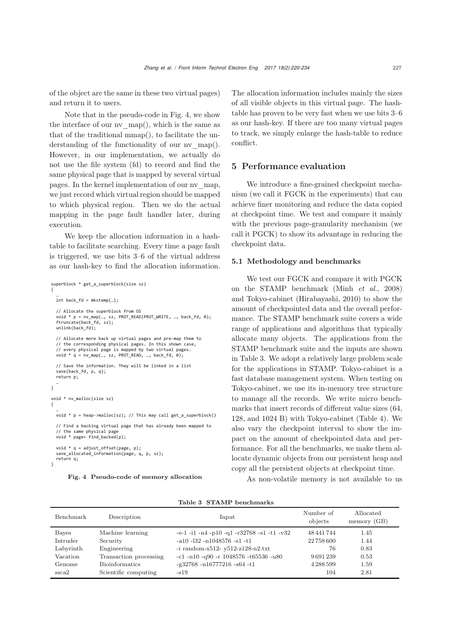of the object are the same in these two virtual pages) and return it to users.

Note that in the pseudo-code in Fig. 4, we show the interface of our  $nv$  map(), which is the same as that of the traditional mmap(), to facilitate the understanding of the functionality of our nv\_map(). However, in our implementation, we actually do not use the file system (fd) to record and find the same physical page that is mapped by several virtual pages. In the kernel implementation of our nv\_map, we just record which virtual region should be mapped to which physical region. Then we do the actual mapping in the page fault handler later, during execution.

We keep the allocation information in a hashtable to facilitate searching. Every time a page fault is triggered, we use bits 3–6 of the virtual address as our hash-key to find the allocation information.

```
superblock * get_a_superblock(size sz)
{
 …
   int back_fd = mkstemp(…);
   // Allocate the superblock from OS
 void * p = nv_map(…, sz, PROT_READ|PROT_WRITE, …, back_fd, 0);
 ftruncate(back_fd, sz);
  unlink(back fd);
   // Allocate more back up virtual pages and pre-map them to
 // the corresponding physical pages. In this shown case,
 // every physical page is mapped by two virtual pages.
  void * q = nv_map(..., sz, PROT_READ, ..., back_fd, 0); // Save the information. They will be linked in a list
   save(back_fd, p, q);
   return p;
 … 
}
void * nv_malloc(size sz)
{
 … 
 void * p = heap->malloc(sz); // This may call get_a_superblock()
   // Find a backing virtual page that has already been mapped to 
 // the same physical page
 void * page= find_backed(p);
  void * q = adjust offset(page, p);
   save_allocated_information(page, q, p, sz);
   return q;
}
```
Fig. 4 Pseudo-code of memory allocation

The allocation information includes mainly the sizes of all visible objects in this virtual page. The hashtable has proven to be very fast when we use bits 3–6 as our hash-key. If there are too many virtual pages to track, we simply enlarge the hash-table to reduce conflict.

## 5 Performance evaluation

We introduce a fine-grained checkpoint mechanism (we call it FGCK in the experiments) that can achieve finer monitoring and reduce the data copied at checkpoint time. We test and compare it mainly with the previous page-granularity mechanism (we call it PGCK) to show its advantage in reducing the checkpoint data.

#### 5.1 Methodology and benchmarks

We test our FGCK and compare it with PGCK on the STAMP benchmark (Minh *et al.*, 2008) and Tokyo-cabinet (Hirabayashi, 2010) to show the amount of checkpointed data and the overall performance. The STAMP benchmark suite covers a wide range of applications and algorithms that typically allocate many objects. The applications from the STAMP benchmark suite and the inputs are shown in Table 3. We adopt a relatively large problem scale for the applications in STAMP. Tokyo-cabinet is a fast database management system. When testing on Tokyo-cabinet, we use its in-memory tree structure to manage all the records. We write micro benchmarks that insert records of different value sizes (64, 128, and 1024 B) with Tokyo-cabinet (Table 4). We also vary the checkpoint interval to show the impact on the amount of checkpointed data and performance. For all the benchmarks, we make them allocate dynamic objects from our persistent heap and copy all the persistent objects at checkpoint time.

As non-volatile memory is not available to us

| Benchmark         | Description            | Input                                                        | Number of<br>objects | Allocated<br>memory (GB) |
|-------------------|------------------------|--------------------------------------------------------------|----------------------|--------------------------|
| Bayes             | Machine learning       | $-e-1$ $-i1$ $-n4$ $-p10$ $-q1$ $-r32768$ $-s1$ $-t1$ $-v32$ | 48 441 744           | 1.45                     |
| Intruder          | Security               | $-a10 - 132 - n1048576 - s1 - t1$                            | 22758600             | 1.44                     |
| Labyrinth         | Engineering            | -i random-x512- y512-z128-n2.txt                             | 76                   | 0.83                     |
| Vacation          | Transaction processing | $-c1 - n10 - q90 - r$ 1048576 -t65536 -u80                   | 9691239              | 0.53                     |
| Genome            | <b>Bioinformatics</b>  | $-g32768 - n16777216 - s64 - t1$                             | 4288599              | 1.59                     |
| s <sub>sca2</sub> | Scientific computing   | $-$ s $19$                                                   | 104                  | 2.81                     |

## Table 3 STAMP benchmarks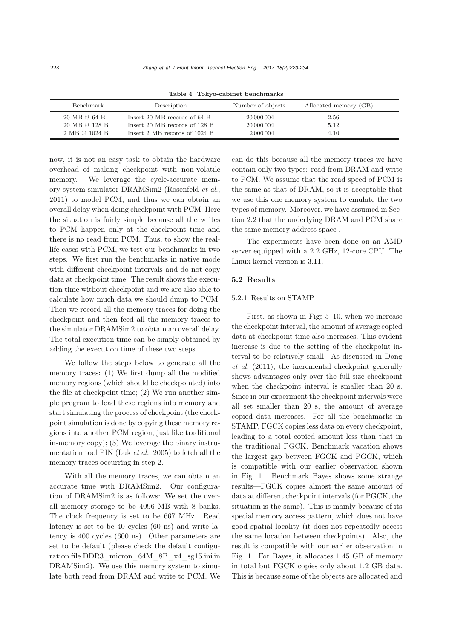| Benchmark     | Description                    | Number of objects | Allocated memory (GB) |  |
|---------------|--------------------------------|-------------------|-----------------------|--|
| 20 MB @ 64 B  | Insert 20 MB records of $64 B$ | 20 000 004        | 2.56                  |  |
| 20 MB @ 128 B | Insert 20 MB records of 128 B  | 20 000 004        | 5.12                  |  |
| 2 MB @ 1024 B | Insert 2 MB records of 1024 B  | 2 000 004         | 4.10                  |  |

Table 4 Tokyo-cabinet benchmarks

now, it is not an easy task to obtain the hardware overhead of making checkpoint with non-volatile memory. We leverage the cycle-accurate memory system simulator DRAMSim2 (Rosenfeld *et al.*, 2011) to model PCM, and thus we can obtain an overall delay when doing checkpoint with PCM. Here the situation is fairly simple because all the writes to PCM happen only at the checkpoint time and there is no read from PCM. Thus, to show the reallife cases with PCM, we test our benchmarks in two steps. We first run the benchmarks in native mode with different checkpoint intervals and do not copy data at checkpoint time. The result shows the execution time without checkpoint and we are also able to calculate how much data we should dump to PCM. Then we record all the memory traces for doing the checkpoint and then feed all the memory traces to the simulator DRAMSim2 to obtain an overall delay. The total execution time can be simply obtained by adding the execution time of these two steps.

We follow the steps below to generate all the memory traces: (1) We first dump all the modified memory regions (which should be checkpointed) into the file at checkpoint time; (2) We run another simple program to load these regions into memory and start simulating the process of checkpoint (the checkpoint simulation is done by copying these memory regions into another PCM region, just like traditional in-memory copy); (3) We leverage the binary instrumentation tool PIN (Luk *et al.*, 2005) to fetch all the memory traces occurring in step 2.

With all the memory traces, we can obtain an accurate time with DRAMSim2. Our configuration of DRAMSim2 is as follows: We set the overall memory storage to be 4096 MB with 8 banks. The clock frequency is set to be 667 MHz. Read latency is set to be 40 cycles (60 ns) and write latency is 400 cycles (600 ns). Other parameters are set to be default (please check the default configuration file DDR3\_micron\_64M\_8B\_x4\_sg15.ini in DRAMSim2). We use this memory system to simulate both read from DRAM and write to PCM. We

can do this because all the memory traces we have contain only two types: read from DRAM and write to PCM. We assume that the read speed of PCM is the same as that of DRAM, so it is acceptable that we use this one memory system to emulate the two types of memory. Moreover, we have assumed in Section 2.2 that the underlying DRAM and PCM share the same memory address space .

The experiments have been done on an AMD server equipped with a 2.2 GHz, 12-core CPU. The Linux kernel version is 3.11.

#### 5.2 Results

#### 5.2.1 Results on STAMP

First, as shown in Figs 5–10, when we increase the checkpoint interval, the amount of average copied data at checkpoint time also increases. This evident increase is due to the setting of the checkpoint interval to be relatively small. As discussed in Dong *et al.* (2011), the incremental checkpoint generally shows advantages only over the full-size checkpoint when the checkpoint interval is smaller than 20 s. Since in our experiment the checkpoint intervals were all set smaller than 20 s, the amount of average copied data increases. For all the benchmarks in STAMP, FGCK copies less data on every checkpoint, leading to a total copied amount less than that in the traditional PGCK. Benchmark vacation shows the largest gap between FGCK and PGCK, which is compatible with our earlier observation shown in Fig. 1. Benchmark Bayes shows some strange results—FGCK copies almost the same amount of data at different checkpoint intervals (for PGCK, the situation is the same). This is mainly because of its special memory access pattern, which does not have good spatial locality (it does not repeatedly access the same location between checkpoints). Also, the result is compatible with our earlier observation in Fig. 1. For Bayes, it allocates 1.45 GB of memory in total but FGCK copies only about 1.2 GB data. This is because some of the objects are allocated and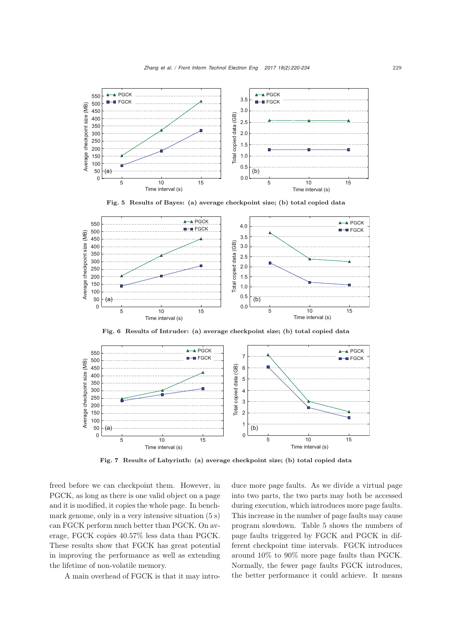

Fig. 5 Results of Bayes: (a) average checkpoint size; (b) total copied data



Fig. 6 Results of Intruder: (a) average checkpoint size; (b) total copied data



Fig. 7 Results of Labyrinth: (a) average checkpoint size; (b) total copied data

freed before we can checkpoint them. However, in PGCK, as long as there is one valid object on a page and it is modified, it copies the whole page. In benchmark genome, only in a very intensive situation (5 s) can FGCK perform much better than PGCK. On average, FGCK copies 40.57% less data than PGCK. These results show that FGCK has great potential in improving the performance as well as extending the lifetime of non-volatile memory.

A main overhead of FGCK is that it may intro-

duce more page faults. As we divide a virtual page into two parts, the two parts may both be accessed during execution, which introduces more page faults. This increase in the number of page faults may cause program slowdown. Table 5 shows the numbers of page faults triggered by FGCK and PGCK in different checkpoint time intervals. FGCK introduces around 10% to 90% more page faults than PGCK. Normally, the fewer page faults FGCK introduces, the better performance it could achieve. It means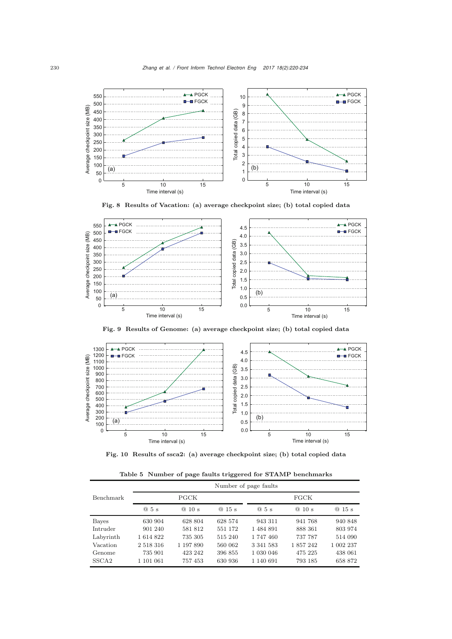

Fig. 8 Results of Vacation: (a) average checkpoint size; (b) total copied data



Fig. 9 Results of Genome: (a) average checkpoint size; (b) total copied data



Fig. 10 Results of ssca2: (a) average checkpoint size; (b) total copied data

Table 5 Number of page faults triggered for STAMP benchmarks

|                   | Number of page faults |             |         |           |           |           |
|-------------------|-----------------------|-------------|---------|-----------|-----------|-----------|
| Benchmark         |                       | <b>PGCK</b> |         | FGCK      |           |           |
|                   | @5s                   | @10s        | @15s    | @5s       | @10s      | @15s      |
| Bayes             | 630 904               | 628 804     | 628 574 | 943 311   | 941768    | 940 848   |
| Intruder          | 901 240               | 581812      | 551 172 | 1484891   | 888 361   | 803 974   |
| Labyrinth         | 1614822               | 735 305     | 515 240 | 1747460   | 737 787   | 514 090   |
| Vacation          | 2 518 316             | 1 197 890   | 560 062 | 3 341 583 | 1 857 242 | 1 002 237 |
| Genome            | 735 901               | 423 242     | 396 855 | 1 030 046 | 475 225   | 438 061   |
| SSCA <sub>2</sub> | 1 101 061             | 757453      | 630 936 | 1 140 691 | 793 185   | 658 872   |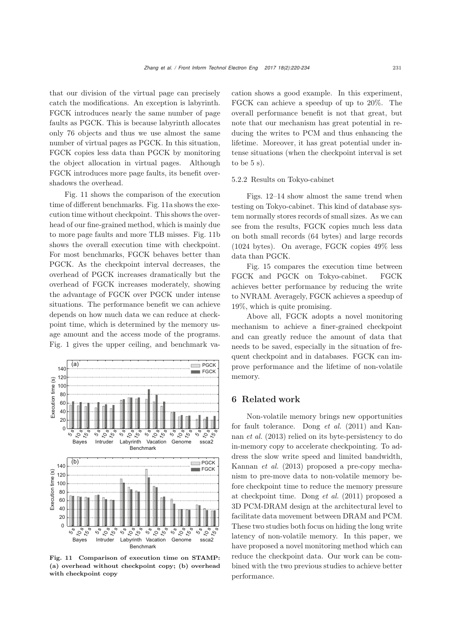that our division of the virtual page can precisely catch the modifications. An exception is labyrinth. FGCK introduces nearly the same number of page faults as PGCK. This is because labyrinth allocates only 76 objects and thus we use almost the same number of virtual pages as PGCK. In this situation, FGCK copies less data than PGCK by monitoring the object allocation in virtual pages. Although FGCK introduces more page faults, its benefit overshadows the overhead.

Fig. 11 shows the comparison of the execution time of different benchmarks. Fig. 11a shows the execution time without checkpoint. This shows the overhead of our fine-grained method, which is mainly due to more page faults and more TLB misses. Fig. 11b shows the overall execution time with checkpoint. For most benchmarks, FGCK behaves better than PGCK. As the checkpoint interval decreases, the overhead of PGCK increases dramatically but the overhead of FGCK increases moderately, showing the advantage of FGCK over PGCK under intense situations. The performance benefit we can achieve depends on how much data we can reduce at checkpoint time, which is determined by the memory usage amount and the access mode of the programs. Fig. 1 gives the upper ceiling, and benchmark va-



Fig. 11 Comparison of execution time on STAMP: (a) overhead without checkpoint copy; (b) overhead with checkpoint copy

cation shows a good example. In this experiment, FGCK can achieve a speedup of up to 20%. The overall performance benefit is not that great, but note that our mechanism has great potential in reducing the writes to PCM and thus enhancing the lifetime. Moreover, it has great potential under intense situations (when the checkpoint interval is set to be  $5 \mathrm{s}$ ).

#### 5.2.2 Results on Tokyo-cabinet

Figs. 12–14 show almost the same trend when testing on Tokyo-cabinet. This kind of database system normally stores records of small sizes. As we can see from the results, FGCK copies much less data on both small records (64 bytes) and large records (1024 bytes). On average, FGCK copies 49% less data than PGCK.

Fig. 15 compares the execution time between FGCK and PGCK on Tokyo-cabinet. FGCK achieves better performance by reducing the write to NVRAM. Averagely, FGCK achieves a speedup of 19%, which is quite promising.

Above all, FGCK adopts a novel monitoring mechanism to achieve a finer-grained checkpoint and can greatly reduce the amount of data that needs to be saved, especially in the situation of frequent checkpoint and in databases. FGCK can improve performance and the lifetime of non-volatile memory.

## 6 Related work

Non-volatile memory brings new opportunities for fault tolerance. Dong *et al.* (2011) and Kannan *et al.* (2013) relied on its byte-persistency to do in-memory copy to accelerate checkpointing. To address the slow write speed and limited bandwidth, Kannan *et al.* (2013) proposed a pre-copy mechanism to pre-move data to non-volatile memory before checkpoint time to reduce the memory pressure at checkpoint time. Dong *et al.* (2011) proposed a 3D PCM-DRAM design at the architectural level to facilitate data movement between DRAM and PCM. These two studies both focus on hiding the long write latency of non-volatile memory. In this paper, we have proposed a novel monitoring method which can reduce the checkpoint data. Our work can be combined with the two previous studies to achieve better performance.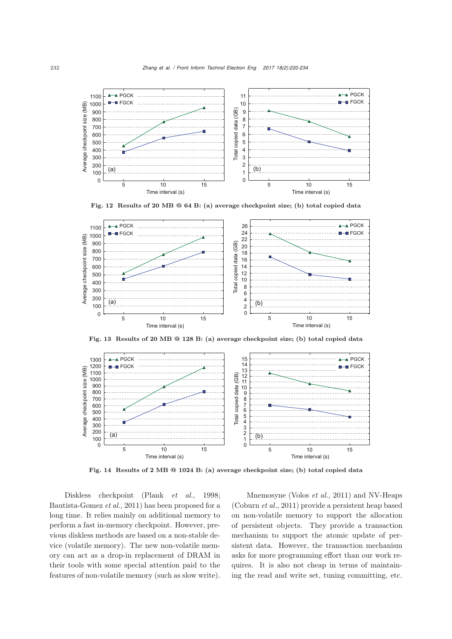

Fig. 12 Results of 20 MB @ 64 B: (a) average checkpoint size; (b) total copied data



Fig. 13 Results of 20 MB @ 128 B: (a) average checkpoint size; (b) total copied data



Fig. 14 Results of 2 MB @ 1024 B: (a) average checkpoint size; (b) total copied data

Diskless checkpoint (Plank *et al.*, 1998; Bautista-Gomez *et al.*, 2011) has been proposed for a long time. It relies mainly on additional memory to perform a fast in-memory checkpoint. However, previous diskless methods are based on a non-stable device (volatile memory). The new non-volatile memory can act as a drop-in replacement of DRAM in their tools with some special attention paid to the features of non-volatile memory (such as slow write).

Mnemosyne (Volos *et al.*, 2011) and NV-Heaps (Coburn *et al.*, 2011) provide a persistent heap based on non-volatile memory to support the allocation of persistent objects. They provide a transaction mechanism to support the atomic update of persistent data. However, the transaction mechanism asks for more programming effort than our work requires. It is also not cheap in terms of maintaining the read and write set, tuning committing, etc.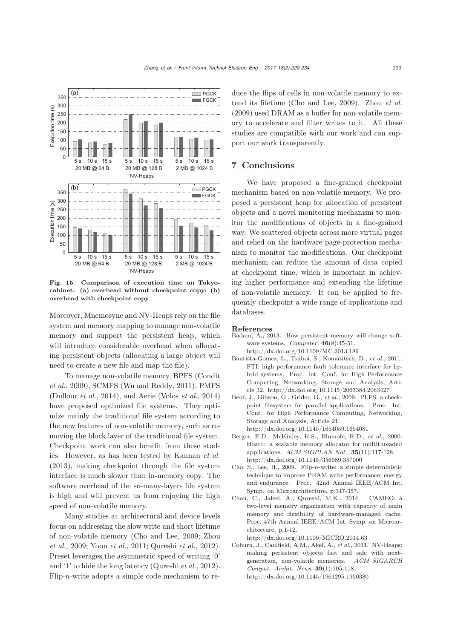

Fig. 15 Comparison of execution time on Tokyocabinet: (a) overhead without checkpoint copy; (b) overhead with checkpoint copy

Moreover, Mnemosyne and NV-Heaps rely on the file system and memory mapping to manage non-volatile memory and support the persistent heap, which will introduce considerable overhead when allocating persistent objects (allocating a large object will need to create a new file and map the file).

To manage non-volatile memory, BPFS (Condit *et al.*, 2009), SCMFS (Wu and Reddy, 2011), PMFS (Dulloor *et al.*, 2014), and Aerie (Volos *et al.*, 2014) have proposed optimized file systems. They optimize mainly the traditional file system according to the new features of non-volatile memory, such as removing the block layer of the traditional file system. Checkpoint work can also benefit from these studies. However, as has been tested by Kannan *et al.* (2013), making checkpoint through the file system interface is much slower than in-memory copy. The software overhead of the so-many-layers file system is high and will prevent us from enjoying the high speed of non-volatile memory.

Many studies at architectural and device levels focus on addressing the slow write and short lifetime of non-volatile memory (Cho and Lee, 2009; Zhou *et al.*, 2009; Yoon *et al.*, 2011; Qureshi *et al.*, 2012). Preset leverages the asymmetric speed of writing '0' and '1' to hide the long latency (Qureshi *et al.*, 2012). Flip-*n*-write adopts a simple code mechanism to reduce the flips of cells in non-volatile memory to extend its lifetime (Cho and Lee, 2009). Zhou *et al.* (2009) used DRAM as a buffer for non-volatile memory to accelerate and filter writes to it. All these studies are compatible with our work and can support our work transparently.

### 7 Conclusions

We have proposed a fine-grained checkpoint mechanism based on non-volatile memory. We proposed a persistent heap for allocation of persistent objects and a novel monitoring mechanism to monitor the modifications of objects in a fine-grained way. We scattered objects across more virtual pages and relied on the hardware page-protection mechanism to monitor the modifications. Our checkpoint mechanism can reduce the amount of data copied at checkpoint time, which is important in achieving higher performance and extending the lifetime of non-volatile memory. It can be applied to frequently checkpoint a wide range of applications and databases.

#### References

- Badam, A., 2013. How persistent memory will change software systems. *Computer*, 46(8):45-51. http://dx.doi.org/10.1109/MC.2013.189
- Bautista-Gomez, L., Tsuboi, S., Komatitsch, D., *et al.*, 2011. FTI: high performance fault tolerance interface for hybrid systems. Proc. Int. Conf. for High Performance Computing, Networking, Storage and Analysis, Article 32. http://dx.doi.org/10.1145/2063384.2063427
- Bent, J., Gibson, G., Grider, G., *et al.*, 2009. PLFS: a checkpoint filesystem for parallel applications. Proc. Int. Conf. for High Performance Computing, Networking, Storage and Analysis, Article 21. http://dx.doi.org/10.1145/1654059.1654081
- Berger, E.D., McKinley, K.S., Blumofe, R.D., *et al.*, 2000. Hoard: a scalable memory allocator for multithreaded applications. *ACM SIGPLAN Not.*, 35(11):117-128. http://dx.doi.org/10.1145/356989.357000
- Cho, S., Lee, H., 2009. Flip-*n*-write: a simple deterministic technique to improve PRAM write performance, energy and endurance. Proc. 42nd Annual IEEE/ACM Int. Symp. on Microarchitecture, p.347-357.
- Chou, C., Jaleel, A., Qureshi, M.K., 2014. CAMEO: a two-level memory organization with capacity of main memory and flexibility of hardware-managed cache. Proc. 47th Annual IEEE/ACM Int. Symp. on Microarchitecture, p.1-12.

http://dx.doi.org/10.1109/MICRO.2014.63

Coburn, J., Caulfield, A.M., Akel, A., *et al.*, 2011. NV-Heaps: making persistent objects fast and safe with nextgeneration, non-volatile memories. *ACM SIGARCH Comput. Archit. News*, 39(1):105-118. http://dx.doi.org/10.1145/1961295.1950380